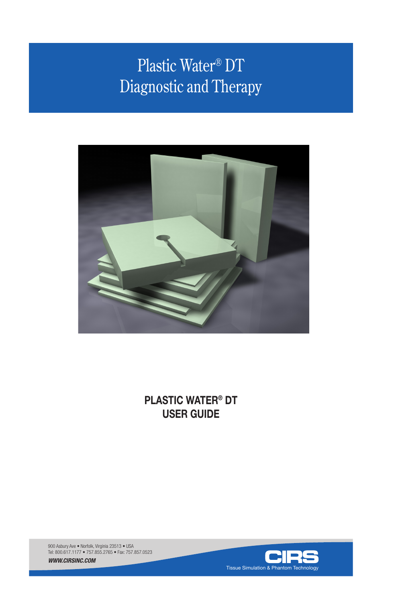# Plastic Water® DT Diagnostic and Therapy



**PLASTIC WATER® DT USER GUIDE**

900 Asbury Ave • Norfolk, Virginia 23513 • USA Tel: 800.617.1177 • 757.855.2765 • Fax: 757.857.0523

*WWW.CIRSINC.COM*

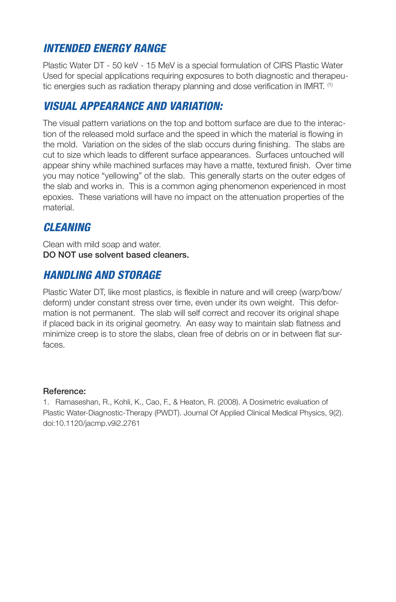## *INTENDED ENERGY RANGE*

Plastic Water DT - 50 keV - 15 MeV is a special formulation of CIRS Plastic Water Used for special applications requiring exposures to both diagnostic and therapeutic energies such as radiation therapy planning and dose verification in IMRT. <sup>(1)</sup>

# *VISUAL APPEARANCE AND VARIATION:*

The visual pattern variations on the top and bottom surface are due to the interaction of the released mold surface and the speed in which the material is flowing in the mold. Variation on the sides of the slab occurs during finishing. The slabs are cut to size which leads to different surface appearances. Surfaces untouched will appear shiny while machined surfaces may have a matte, textured finish. Over time you may notice "yellowing" of the slab. This generally starts on the outer edges of the slab and works in. This is a common aging phenomenon experienced in most epoxies. These variations will have no impact on the attenuation properties of the material.

# *CLEANING*

Clean with mild soap and water. DO NOT use solvent based cleaners.

# *HANDLING AND STORAGE*

Plastic Water DT, like most plastics, is flexible in nature and will creep (warp/bow/ deform) under constant stress over time, even under its own weight. This deformation is not permanent. The slab will self correct and recover its original shape if placed back in its original geometry. An easy way to maintain slab flatness and minimize creep is to store the slabs, clean free of debris on or in between flat surfaces.

### Reference:

1. Ramaseshan, R., Kohli, K., Cao, F., & Heaton, R. (2008). A Dosimetric evaluation of Plastic Water-Diagnostic-Therapy (PWDT). Journal Of Applied Clinical Medical Physics, 9(2). doi:10.1120/jacmp.v9i2.2761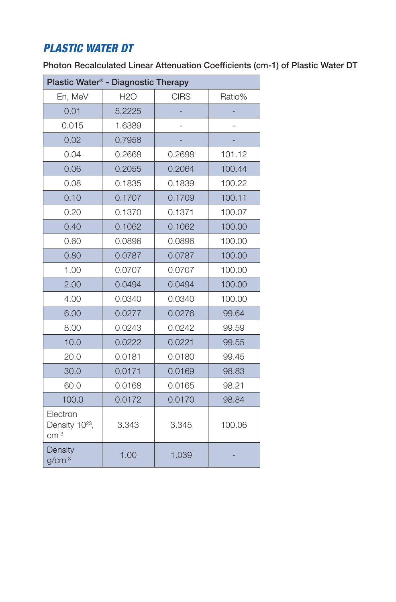# *PLASTIC WATER DT*

Photon Recalculated Linear Attenuation Coefficients (cm-1) of Plastic Water DT

| Plastic Water® - Diagnostic Therapy              |            |             |        |
|--------------------------------------------------|------------|-------------|--------|
| En, MeV                                          | <b>H2O</b> | <b>CIRS</b> | Ratio% |
| 0.01                                             | 5.2225     |             |        |
| 0.015                                            | 1.6389     |             |        |
| 0.02                                             | 0.7958     |             |        |
| 0.04                                             | 0.2668     | 0.2698      | 101.12 |
| 0.06                                             | 0.2055     | 0.2064      | 100.44 |
| 0.08                                             | 0.1835     | 0.1839      | 100.22 |
| 0.10                                             | 0.1707     | 0.1709      | 100.11 |
| 0.20                                             | 0.1370     | 0.1371      | 100.07 |
| 0.40                                             | 0.1062     | 0.1062      | 100,00 |
| 0.60                                             | 0.0896     | 0.0896      | 100.00 |
| 0.80                                             | 0.0787     | 0.0787      | 100.00 |
| 1.00                                             | 0.0707     | 0.0707      | 100.00 |
| 2.00                                             | 0.0494     | 0.0494      | 100.00 |
| 4.00                                             | 0.0340     | 0.0340      | 100.00 |
| 6.00                                             | 0.0277     | 0.0276      | 99.64  |
| 8.00                                             | 0.0243     | 0.0242      | 99.59  |
| 10.0                                             | 0.0222     | 0.0221      | 99.55  |
| 20.0                                             | 0.0181     | 0.0180      | 99.45  |
| 30.0                                             | 0.0171     | 0.0169      | 98.83  |
| 60.0                                             | 0.0168     | 0.0165      | 98.21  |
| 100.0                                            | 0.0172     | 0.0170      | 98.84  |
| Electron<br>Density 10 <sup>23</sup> ,<br>$cm-3$ | 3.343      | 3.345       | 100.06 |
| Density<br>$g/cm^{-3}$                           | 1.00       | 1.039       |        |